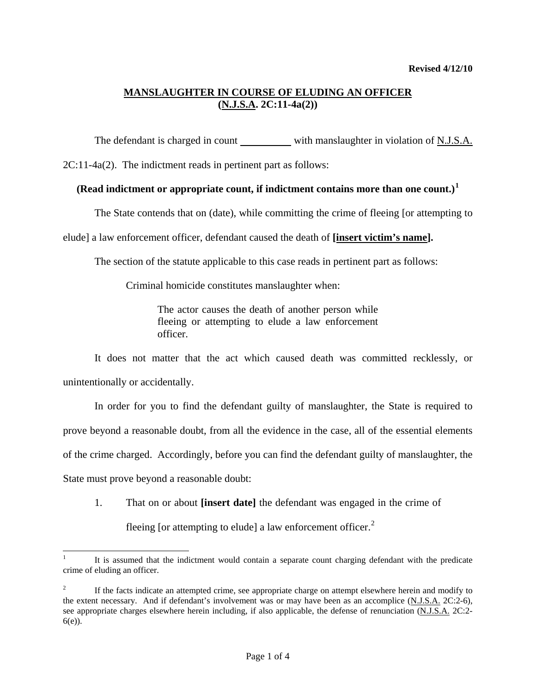#### **MANSLAUGHTER IN COURSE OF ELUDING AN OFFICER (N.J.S.A. 2C:11-4a(2))**

The defendant is charged in count with manslaughter in violation of N.J.S.A.

2C:11-4a(2). The indictment reads in pertinent part as follows:

#### **(Read indictment or appropriate count, if indictment contains more than one count.)[1](#page-1-0)**

The State contends that on (date), while committing the crime of fleeing [or attempting to

elude] a law enforcement officer, defendant caused the death of **[insert victim's name].**

The section of the statute applicable to this case reads in pertinent part as follows:

Criminal homicide constitutes manslaughter when:

The actor causes the death of another person while fleeing or attempting to elude a law enforcement officer.

 It does not matter that the act which caused death was committed recklessly, or unintentionally or accidentally.

 In order for you to find the defendant guilty of manslaughter, the State is required to prove beyond a reasonable doubt, from all the evidence in the case, all of the essential elements of the crime charged. Accordingly, before you can find the defendant guilty of manslaughter, the State must prove beyond a reasonable doubt:

 1. That on or about **[insert date]** the defendant was engaged in the crime of fleeing [or attempting to elude] a law enforcement officer. $<sup>2</sup>$  $<sup>2</sup>$  $<sup>2</sup>$ </sup>

 $\overline{a}$ 1 It is assumed that the indictment would contain a separate count charging defendant with the predicate crime of eluding an officer.

<span id="page-0-1"></span><span id="page-0-0"></span><sup>2</sup> If the facts indicate an attempted crime, see appropriate charge on attempt elsewhere herein and modify to the extent necessary. And if defendant's involvement was or may have been as an accomplice (N.J.S.A. 2C:2-6), see appropriate charges elsewhere herein including, if also applicable, the defense of renunciation (N.J.S.A. 2C:2- 6(e)).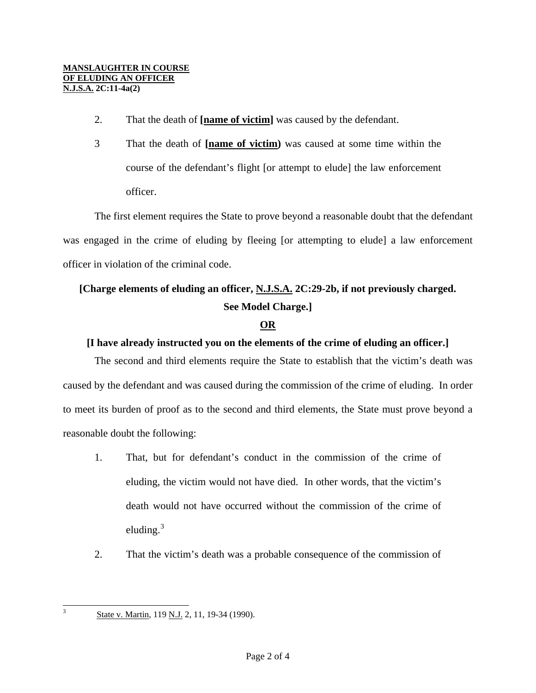- 2. That the death of **[name of victim]** was caused by the defendant.
- 3 That the death of **[name of victim)** was caused at some time within the course of the defendant's flight [or attempt to elude] the law enforcement officer.

 The first element requires the State to prove beyond a reasonable doubt that the defendant was engaged in the crime of eluding by fleeing [or attempting to elude] a law enforcement officer in violation of the criminal code.

## **[Charge elements of eluding an officer, N.J.S.A. 2C:29-2b, if not previously charged. See Model Charge.]**

## **OR**

## **[I have already instructed you on the elements of the crime of eluding an officer.]**

 The second and third elements require the State to establish that the victim's death was caused by the defendant and was caused during the commission of the crime of eluding. In order to meet its burden of proof as to the second and third elements, the State must prove beyond a reasonable doubt the following:

- 1. That, but for defendant's conduct in the commission of the crime of eluding, the victim would not have died. In other words, that the victim's death would not have occurred without the commission of the crime of eluding. $3$
- <span id="page-1-1"></span>2. That the victim's death was a probable consequence of the commission of

<span id="page-1-0"></span>3

State v. Martin, 119 N.J. 2, 11, 19-34 (1990).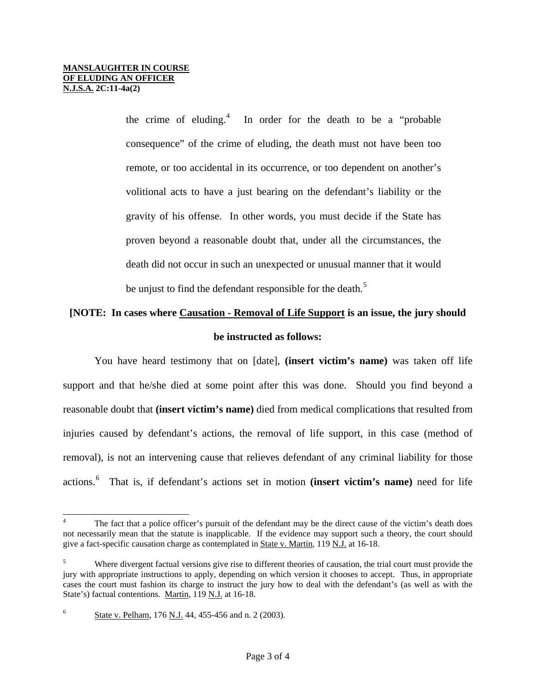the crime of eluding.<sup>[4](#page-1-1)</sup> In order for the death to be a "probable" consequence" of the crime of eluding, the death must not have been too remote, or too accidental in its occurrence, or too dependent on another's volitional acts to have a just bearing on the defendant's liability or the gravity of his offense. In other words, you must decide if the State has proven beyond a reasonable doubt that, under all the circumstances, the death did not occur in such an unexpected or unusual manner that it would be unjust to find the defendant responsible for the death.<sup>[5](#page-2-0)</sup>

# **[NOTE: In cases where Causation - Removal of Life Support is an issue, the jury should be instructed as follows:**

 You have heard testimony that on [date], **(insert victim's name)** was taken off life support and that he/she died at some point after this was done. Should you find beyond a reasonable doubt that **(insert victim's name)** died from medical complications that resulted from injuries caused by defendant's actions, the removal of life support, in this case (method of removal), is not an intervening cause that relieves defendant of any criminal liability for those actions.[6](#page-2-1) That is, if defendant's actions set in motion **(insert victim's name)** need for life

l 4 The fact that a police officer's pursuit of the defendant may be the direct cause of the victim's death does not necessarily mean that the statute is inapplicable. If the evidence may support such a theory, the court should give a fact-specific causation charge as contemplated in **State v. Martin**, 119 N.J. at 16-18.

<span id="page-2-0"></span><sup>5</sup> Where divergent factual versions give rise to different theories of causation, the trial court must provide the jury with appropriate instructions to apply, depending on which version it chooses to accept. Thus, in appropriate cases the court must fashion its charge to instruct the jury how to deal with the defendant's (as well as with the State's) factual contentions. Martin, 119 N.J. at 16-18.

<span id="page-2-1"></span><sup>6</sup> State v. Pelham, 176 N.J. 44, 455-456 and n. 2 (2003).